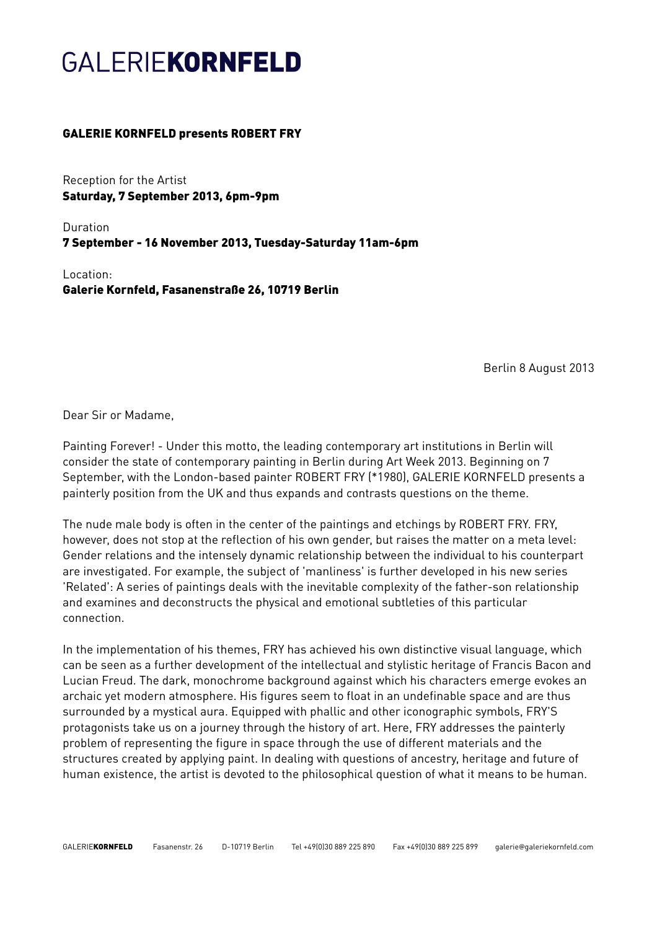## **GALERIEKORNFELD**

## GALERIE KORNFELD presents ROBERT FRY

Reception for the Artist Saturday, 7 September 2013, 6pm-9pm

Duration 7 September - 16 November 2013, Tuesday-Saturday 11am-6pm

Location: Galerie Kornfeld, Fasanenstraße 26, 10719 Berlin

Berlin 8 August 2013

Dear Sir or Madame,

Painting Forever! - Under this motto, the leading contemporary art institutions in Berlin will consider the state of contemporary painting in Berlin during Art Week 2013. Beginning on 7 September, with the London-based painter ROBERT FRY (\*1980), GALERIE KORNFELD presents a painterly position from the UK and thus expands and contrasts questions on the theme.

The nude male body is often in the center of the paintings and etchings by ROBERT FRY. FRY, however, does not stop at the reflection of his own gender, but raises the matter on a meta level: Gender relations and the intensely dynamic relationship between the individual to his counterpart are investigated. For example, the subject of 'manliness' is further developed in his new series 'Related': A series of paintings deals with the inevitable complexity of the father-son relationship and examines and deconstructs the physical and emotional subtleties of this particular connection.

In the implementation of his themes, FRY has achieved his own distinctive visual language, which can be seen as a further development of the intellectual and stylistic heritage of Francis Bacon and Lucian Freud. The dark, monochrome background against which his characters emerge evokes an archaic yet modern atmosphere. His figures seem to float in an undefinable space and are thus surrounded by a mystical aura. Equipped with phallic and other iconographic symbols, FRY'S protagonists take us on a journey through the history of art. Here, FRY addresses the painterly problem of representing the figure in space through the use of different materials and the structures created by applying paint. In dealing with questions of ancestry, heritage and future of human existence, the artist is devoted to the philosophical question of what it means to be human.